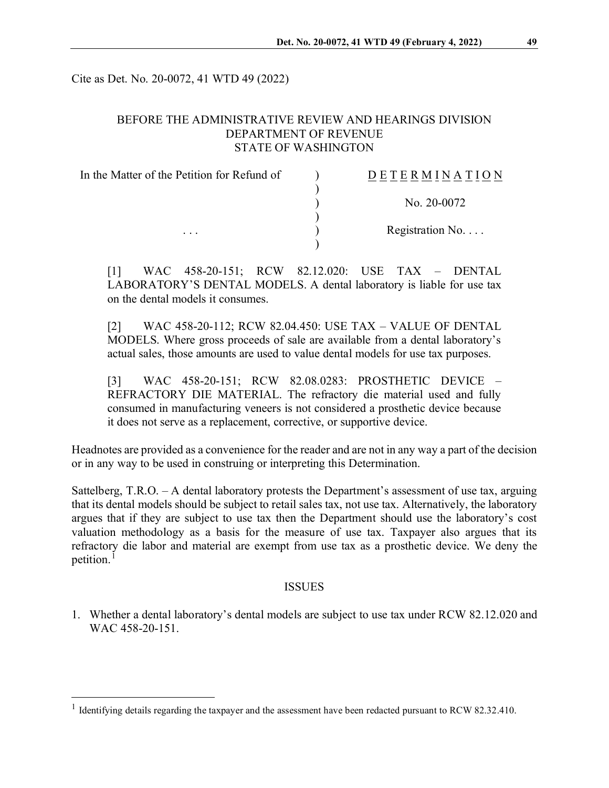Cite as Det. No. 20-0072, 41 WTD 49 (2022)

# BEFORE THE ADMINISTRATIVE REVIEW AND HEARINGS DIVISION DEPARTMENT OF REVENUE STATE OF WASHINGTON

| In the Matter of the Petition for Refund of | DETERMINATION            |
|---------------------------------------------|--------------------------|
|                                             |                          |
|                                             | No. 20-0072              |
|                                             |                          |
| $\cdots$                                    | Registration No. $\dots$ |
|                                             |                          |

[1] WAC 458-20-151; RCW 82.12.020: USE TAX – DENTAL LABORATORY'S DENTAL MODELS. A dental laboratory is liable for use tax on the dental models it consumes.

[2] WAC 458-20-112; RCW 82.04.450: USE TAX – VALUE OF DENTAL MODELS. Where gross proceeds of sale are available from a dental laboratory's actual sales, those amounts are used to value dental models for use tax purposes.

[3] WAC 458-20-151; RCW 82.08.0283: PROSTHETIC DEVICE – REFRACTORY DIE MATERIAL. The refractory die material used and fully consumed in manufacturing veneers is not considered a prosthetic device because it does not serve as a replacement, corrective, or supportive device.

Headnotes are provided as a convenience for the reader and are not in any way a part of the decision or in any way to be used in construing or interpreting this Determination.

Sattelberg, T.R.O. – A dental laboratory protests the Department's assessment of use tax, arguing that its dental models should be subject to retail sales tax, not use tax. Alternatively, the laboratory argues that if they are subject to use tax then the Department should use the laboratory's cost valuation methodology as a basis for the measure of use tax. Taxpayer also argues that its refractory die labor and material are exempt from use tax as a prosthetic device. We deny the petition. $<sup>1</sup>$  $<sup>1</sup>$  $<sup>1</sup>$ </sup>

#### ISSUES

1. Whether a dental laboratory's dental models are subject to use tax under RCW 82.12.020 and WAC 458-20-151.

<span id="page-0-0"></span><sup>&</sup>lt;sup>1</sup> Identifying details regarding the taxpayer and the assessment have been redacted pursuant to RCW 82.32.410.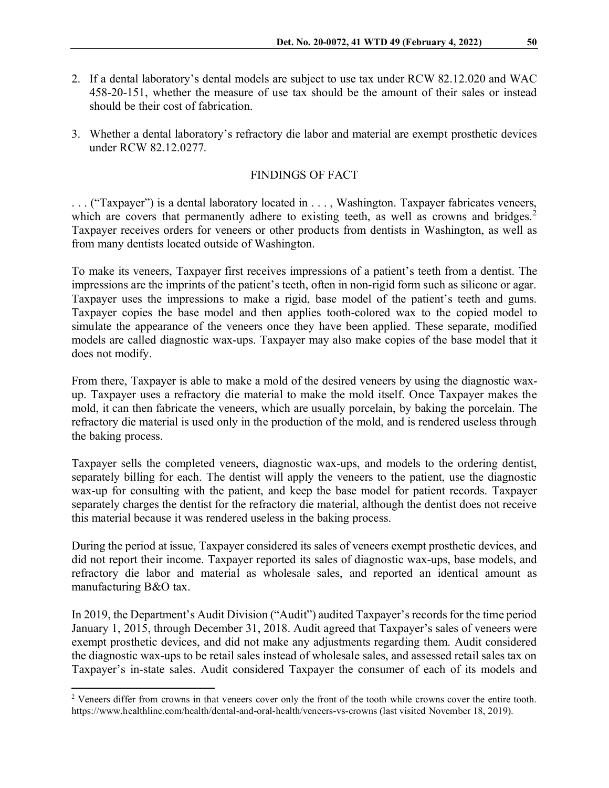- 2. If a dental laboratory's dental models are subject to use tax under RCW 82.12.020 and WAC 458-20-151, whether the measure of use tax should be the amount of their sales or instead should be their cost of fabrication.
- 3. Whether a dental laboratory's refractory die labor and material are exempt prosthetic devices under RCW 82.12.0277.

# FINDINGS OF FACT

. . . ("Taxpayer") is a dental laboratory located in . . . , Washington. Taxpayer fabricates veneers, which are covers that permanently adhere to existing teeth, as well as crowns and bridges.<sup>[2](#page-1-0)</sup> Taxpayer receives orders for veneers or other products from dentists in Washington, as well as from many dentists located outside of Washington.

To make its veneers, Taxpayer first receives impressions of a patient's teeth from a dentist. The impressions are the imprints of the patient's teeth, often in non-rigid form such as silicone or agar. Taxpayer uses the impressions to make a rigid, base model of the patient's teeth and gums. Taxpayer copies the base model and then applies tooth-colored wax to the copied model to simulate the appearance of the veneers once they have been applied. These separate, modified models are called diagnostic wax-ups. Taxpayer may also make copies of the base model that it does not modify.

From there, Taxpayer is able to make a mold of the desired veneers by using the diagnostic waxup. Taxpayer uses a refractory die material to make the mold itself. Once Taxpayer makes the mold, it can then fabricate the veneers, which are usually porcelain, by baking the porcelain. The refractory die material is used only in the production of the mold, and is rendered useless through the baking process.

Taxpayer sells the completed veneers, diagnostic wax-ups, and models to the ordering dentist, separately billing for each. The dentist will apply the veneers to the patient, use the diagnostic wax-up for consulting with the patient, and keep the base model for patient records. Taxpayer separately charges the dentist for the refractory die material, although the dentist does not receive this material because it was rendered useless in the baking process.

During the period at issue, Taxpayer considered its sales of veneers exempt prosthetic devices, and did not report their income. Taxpayer reported its sales of diagnostic wax-ups, base models, and refractory die labor and material as wholesale sales, and reported an identical amount as manufacturing B&O tax.

In 2019, the Department's Audit Division ("Audit") audited Taxpayer's records for the time period January 1, 2015, through December 31, 2018. Audit agreed that Taxpayer's sales of veneers were exempt prosthetic devices, and did not make any adjustments regarding them. Audit considered the diagnostic wax-ups to be retail sales instead of wholesale sales, and assessed retail sales tax on Taxpayer's in-state sales. Audit considered Taxpayer the consumer of each of its models and

<span id="page-1-0"></span><sup>&</sup>lt;sup>2</sup> Veneers differ from crowns in that veneers cover only the front of the tooth while crowns cover the entire tooth. https://www.healthline.com/health/dental-and-oral-health/veneers-vs-crowns (last visited November 18, 2019).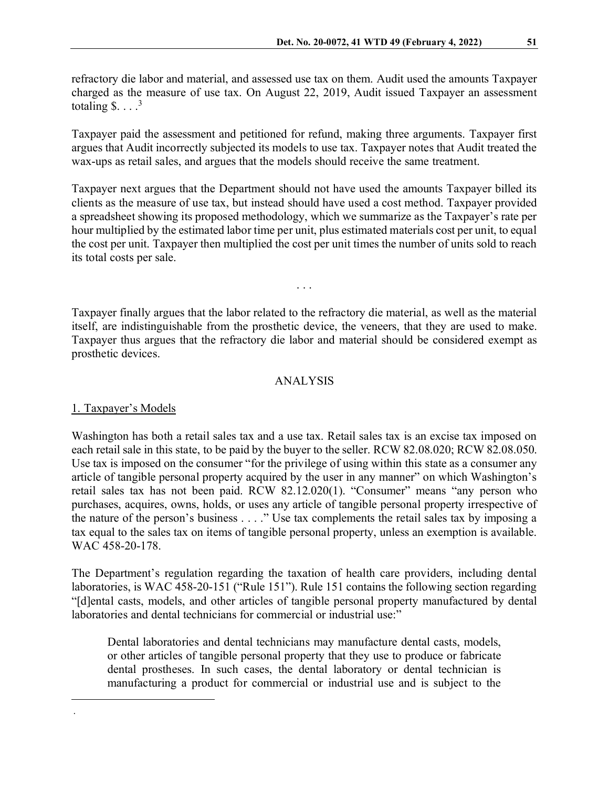refractory die labor and material, and assessed use tax on them. Audit used the amounts Taxpayer charged as the measure of use tax. On August 22, 2019, Audit issued Taxpayer an assessment totaling  $$...$ <sup>[3](#page-2-0)</sup>

Taxpayer paid the assessment and petitioned for refund, making three arguments. Taxpayer first argues that Audit incorrectly subjected its models to use tax. Taxpayer notes that Audit treated the wax-ups as retail sales, and argues that the models should receive the same treatment.

Taxpayer next argues that the Department should not have used the amounts Taxpayer billed its clients as the measure of use tax, but instead should have used a cost method. Taxpayer provided a spreadsheet showing its proposed methodology, which we summarize as the Taxpayer's rate per hour multiplied by the estimated labor time per unit, plus estimated materials cost per unit, to equal the cost per unit. Taxpayer then multiplied the cost per unit times the number of units sold to reach its total costs per sale.

Taxpayer finally argues that the labor related to the refractory die material, as well as the material itself, are indistinguishable from the prosthetic device, the veneers, that they are used to make. Taxpayer thus argues that the refractory die labor and material should be considered exempt as prosthetic devices.

. . .

## ANALYSIS

## 1. Taxpayer's Models

<span id="page-2-0"></span>.

Washington has both a retail sales tax and a use tax. Retail sales tax is an excise tax imposed on each retail sale in this state, to be paid by the buyer to the seller. RCW 82.08.020; RCW 82.08.050. Use tax is imposed on the consumer "for the privilege of using within this state as a consumer any article of tangible personal property acquired by the user in any manner" on which Washington's retail sales tax has not been paid. RCW 82.12.020(1). "Consumer" means "any person who purchases, acquires, owns, holds, or uses any article of tangible personal property irrespective of the nature of the person's business . . . ." Use tax complements the retail sales tax by imposing a tax equal to the sales tax on items of tangible personal property, unless an exemption is available. WAC 458-20-178.

The Department's regulation regarding the taxation of health care providers, including dental laboratories, is WAC 458-20-151 ("Rule 151"). Rule 151 contains the following section regarding "[d]ental casts, models, and other articles of tangible personal property manufactured by dental laboratories and dental technicians for commercial or industrial use:"

Dental laboratories and dental technicians may manufacture dental casts, models, or other articles of tangible personal property that they use to produce or fabricate dental prostheses. In such cases, the dental laboratory or dental technician is manufacturing a product for commercial or industrial use and is subject to the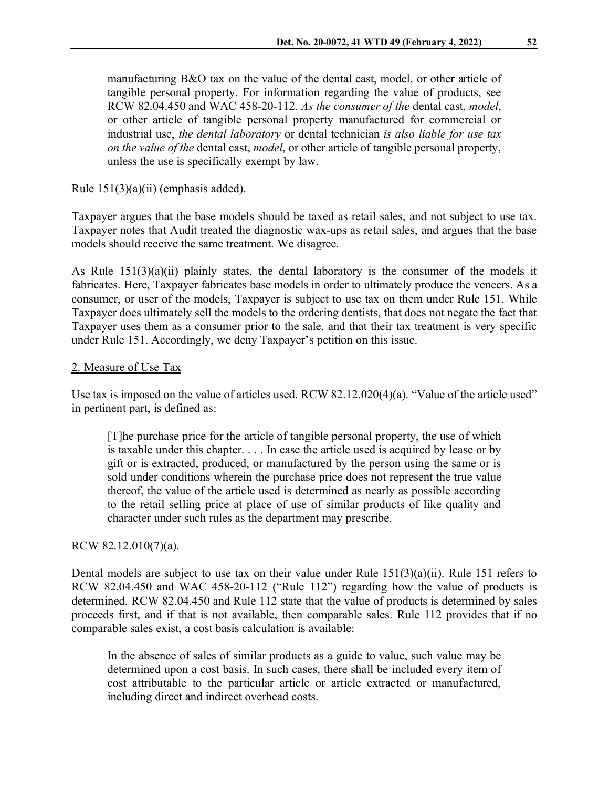manufacturing B&O tax on the value of the dental cast, model, or other article of tangible personal property. For information regarding the value of products, see RCW 82.04.450 and WAC 458-20-112. *As the consumer of the* dental cast, *model*, or other article of tangible personal property manufactured for commercial or industrial use, *the dental laboratory* or dental technician *is also liable for use tax on the value of the* dental cast, *model*, or other article of tangible personal property, unless the use is specifically exempt by law.

#### Rule 151(3)(a)(ii) (emphasis added).

Taxpayer argues that the base models should be taxed as retail sales, and not subject to use tax. Taxpayer notes that Audit treated the diagnostic wax-ups as retail sales, and argues that the base models should receive the same treatment. We disagree.

As Rule  $151(3)(a)(ii)$  plainly states, the dental laboratory is the consumer of the models it fabricates. Here, Taxpayer fabricates base models in order to ultimately produce the veneers. As a consumer, or user of the models, Taxpayer is subject to use tax on them under Rule 151. While Taxpayer does ultimately sell the models to the ordering dentists, that does not negate the fact that Taxpayer uses them as a consumer prior to the sale, and that their tax treatment is very specific under Rule 151. Accordingly, we deny Taxpayer's petition on this issue.

#### 2. Measure of Use Tax

Use tax is imposed on the value of articles used. RCW 82.12.020(4)(a). "Value of the article used" in pertinent part, is defined as:

[T]he purchase price for the article of tangible personal property, the use of which is taxable under this chapter. . . . In case the article used is acquired by lease or by gift or is extracted, produced, or manufactured by the person using the same or is sold under conditions wherein the purchase price does not represent the true value thereof, the value of the article used is determined as nearly as possible according to the retail selling price at place of use of similar products of like quality and character under such rules as the department may prescribe.

#### RCW 82.12.010(7)(a).

Dental models are subject to use tax on their value under Rule  $151(3)(a)(ii)$ . Rule 151 refers to RCW 82.04.450 and WAC 458-20-112 ("Rule 112") regarding how the value of products is determined. RCW 82.04.450 and Rule 112 state that the value of products is determined by sales proceeds first, and if that is not available, then comparable sales. Rule 112 provides that if no comparable sales exist, a cost basis calculation is available:

In the absence of sales of similar products as a guide to value, such value may be determined upon a cost basis. In such cases, there shall be included every item of cost attributable to the particular article or article extracted or manufactured, including direct and indirect overhead costs.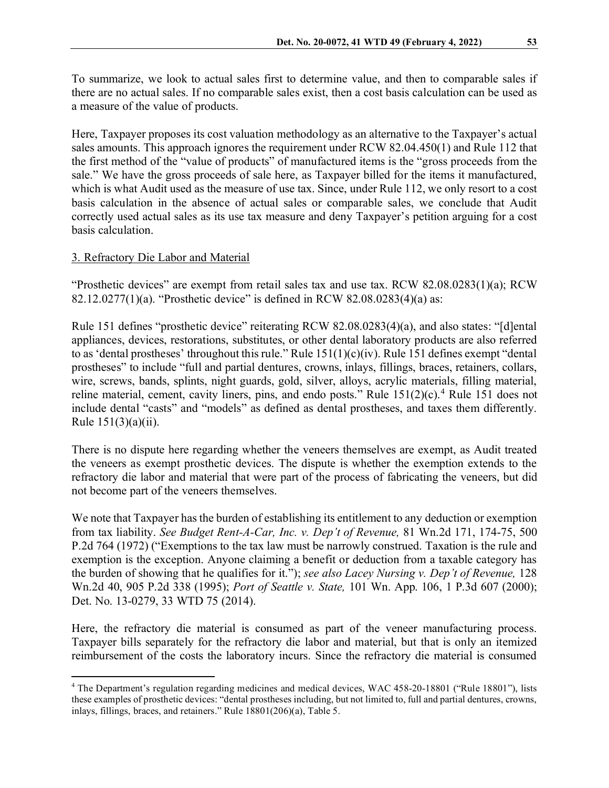To summarize, we look to actual sales first to determine value, and then to comparable sales if there are no actual sales. If no comparable sales exist, then a cost basis calculation can be used as a measure of the value of products.

Here, Taxpayer proposes its cost valuation methodology as an alternative to the Taxpayer's actual sales amounts. This approach ignores the requirement under RCW 82.04.450(1) and Rule 112 that the first method of the "value of products" of manufactured items is the "gross proceeds from the sale." We have the gross proceeds of sale here, as Taxpayer billed for the items it manufactured, which is what Audit used as the measure of use tax. Since, under Rule 112, we only resort to a cost basis calculation in the absence of actual sales or comparable sales, we conclude that Audit correctly used actual sales as its use tax measure and deny Taxpayer's petition arguing for a cost basis calculation.

### 3. Refractory Die Labor and Material

"Prosthetic devices" are exempt from retail sales tax and use tax. RCW 82.08.0283(1)(a); RCW 82.12.0277(1)(a). "Prosthetic device" is defined in RCW 82.08.0283(4)(a) as:

Rule 151 defines "prosthetic device" reiterating RCW 82.08.0283(4)(a), and also states: "[d]ental appliances, devices, restorations, substitutes, or other dental laboratory products are also referred to as 'dental prostheses' throughout this rule." Rule  $151(1)(c)(iv)$ . Rule 151 defines exempt "dental" prostheses" to include "full and partial dentures, crowns, inlays, fillings, braces, retainers, collars, wire, screws, bands, splints, night guards, gold, silver, alloys, acrylic materials, filling material, reline material, cement, cavity liners, pins, and endo posts." Rule 151(2)(c).<sup>[4](#page-4-0)</sup> Rule 151 does not include dental "casts" and "models" as defined as dental prostheses, and taxes them differently. Rule  $151(3)(a)(ii)$ .

There is no dispute here regarding whether the veneers themselves are exempt, as Audit treated the veneers as exempt prosthetic devices. The dispute is whether the exemption extends to the refractory die labor and material that were part of the process of fabricating the veneers, but did not become part of the veneers themselves.

We note that Taxpayer has the burden of establishing its entitlement to any deduction or exemption from tax liability. *See Budget Rent-A-Car, Inc. v. Dep't of Revenue,* 81 Wn.2d 171, 174-75, 500 P.2d 764 (1972) ("Exemptions to the tax law must be narrowly construed. Taxation is the rule and exemption is the exception. Anyone claiming a benefit or deduction from a taxable category has the burden of showing that he qualifies for it."); *see also Lacey Nursing v. Dep't of Revenue,* 128 Wn.2d 40, 905 P.2d 338 (1995); *Port of Seattle v. State,* 101 Wn. App. 106, 1 P.3d 607 (2000); Det. No. 13-0279, 33 WTD 75 (2014).

Here, the refractory die material is consumed as part of the veneer manufacturing process. Taxpayer bills separately for the refractory die labor and material, but that is only an itemized reimbursement of the costs the laboratory incurs. Since the refractory die material is consumed

<span id="page-4-0"></span><sup>&</sup>lt;sup>4</sup> The Department's regulation regarding medicines and medical devices, WAC 458-20-18801 ("Rule 18801"), lists these examples of prosthetic devices: "dental prostheses including, but not limited to, full and partial dentures, crowns, inlays, fillings, braces, and retainers." Rule 18801(206)(a), Table 5.